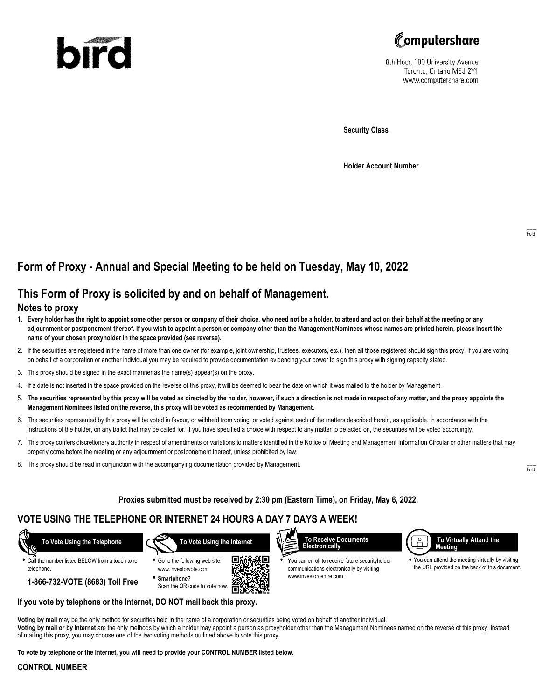# bird



8th Floor, 100 University Avenue Toronto, Ontario M5J 2Y1 www.computershare.com

**Security Class**

**Holder Account Number**

## **Form of Proxy - Annual and Special Meeting to be held on Tuesday, May 10, 2022**

## **This Form of Proxy is solicited by and on behalf of Management.**

#### **Notes to proxy**

- 1. **Every holder has the right to appoint some other person or company of their choice, who need not be a holder, to attend and act on their behalf at the meeting or any adjournment or postponement thereof. If you wish to appoint a person or company other than the Management Nominees whose names are printed herein, please insert the name of your chosen proxyholder in the space provided (see reverse).**
- 2. If the securities are registered in the name of more than one owner (for example, joint ownership, trustees, executors, etc.), then all those registered should sign this proxy. If you are voting on behalf of a corporation or another individual you may be required to provide documentation evidencing your power to sign this proxy with signing capacity stated.
- 3. This proxy should be signed in the exact manner as the name(s) appear(s) on the proxy.
- 4. If a date is not inserted in the space provided on the reverse of this proxy, it will be deemed to bear the date on which it was mailed to the holder by Management.
- 5. **The securities represented by this proxy will be voted as directed by the holder, however, if such a direction is not made in respect of any matter, and the proxy appoints the Management Nominees listed on the reverse, this proxy will be voted as recommended by Management.**
- 6. The securities represented by this proxy will be voted in favour, or withheld from voting, or voted against each of the matters described herein, as applicable, in accordance with the instructions of the holder, on any ballot that may be called for. If you have specified a choice with respect to any matter to be acted on, the securities will be voted accordingly.
- 7. This proxy confers discretionary authority in respect of amendments or variations to matters identified in the Notice of Meeting and Management Information Circular or other matters that may properly come before the meeting or any adjournment or postponement thereof, unless prohibited by law.
- 8. This proxy should be read in conjunction with the accompanying documentation provided by Management.

#### **Proxies submitted must be received by 2:30 pm (Eastern Time), on Friday, May 6, 2022.**

## **VOTE USING THE TELEPHONE OR INTERNET 24 HOURS A DAY 7 DAYS A WEEK!**



**•** Call the number listed BELOW from a touch tone telephone.

**1-866-732-VOTE (8683) Toll Free**







**•** You can enroll to receive future securityholder communications electronically by visiting www.investorcentre.com.



**•** You can attend the meeting virtually by visiting the URL provided on the back of this document.

**Voting by mail** may be the only method for securities held in the name of a corporation or securities being voted on behalf of another individual.

**Voting by mail or by Internet** are the only methods by which a holder may appoint a person as proxyholder other than the Management Nominees named on the reverse of this proxy. Instead of mailing this proxy, you may choose one of the two voting methods outlined above to vote this proxy.

**To vote by telephone or the Internet, you will need to provide your CONTROL NUMBER listed below.**

**If you vote by telephone or the Internet, DO NOT mail back this proxy.**

#### **CONTROL NUMBER**